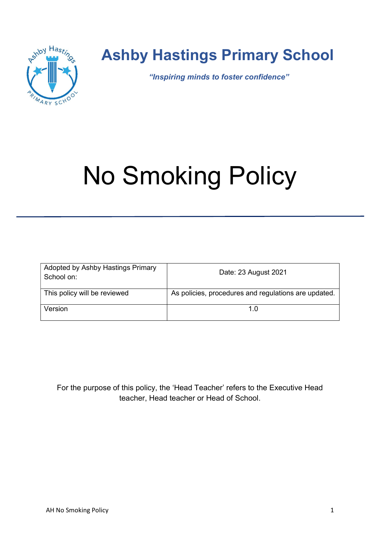

## Ashby Hastings Primary School

"Inspiring minds to foster confidence"

# No Smoking Policy

| Adopted by Ashby Hastings Primary<br>School on: | Date: 23 August 2021                                 |
|-------------------------------------------------|------------------------------------------------------|
| This policy will be reviewed                    | As policies, procedures and regulations are updated. |
| Version                                         | 1 በ                                                  |

For the purpose of this policy, the 'Head Teacher' refers to the Executive Head teacher, Head teacher or Head of School.